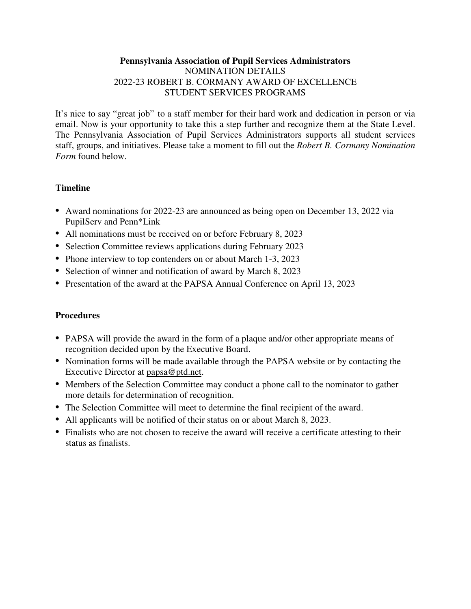### **Pennsylvania Association of Pupil Services Administrators**  NOMINATION DETAILS 2022-23 ROBERT B. CORMANY AWARD OF EXCELLENCE STUDENT SERVICES PROGRAMS

It's nice to say "great job" to a staff member for their hard work and dedication in person or via email. Now is your opportunity to take this a step further and recognize them at the State Level. The Pennsylvania Association of Pupil Services Administrators supports all student services staff, groups, and initiatives. Please take a moment to fill out the *Robert B. Cormany Nomination Form* found below.

## **Timeline**

- Award nominations for 2022-23 are announced as being open on December 13, 2022 via PupilServ and Penn\*Link
- All nominations must be received on or before February 8, 2023
- Selection Committee reviews applications during February 2023
- Phone interview to top contenders on or about March 1-3, 2023
- Selection of winner and notification of award by March 8, 2023
- Presentation of the award at the PAPSA Annual Conference on April 13, 2023

## **Procedures**

- PAPSA will provide the award in the form of a plaque and/or other appropriate means of recognition decided upon by the Executive Board.
- Nomination forms will be made available through the PAPSA website or by contacting the Executive Director at papsa@ptd.net.
- Members of the Selection Committee may conduct a phone call to the nominator to gather more details for determination of recognition.
- The Selection Committee will meet to determine the final recipient of the award.
- All applicants will be notified of their status on or about March 8, 2023.
- Finalists who are not chosen to receive the award will receive a certificate attesting to their status as finalists.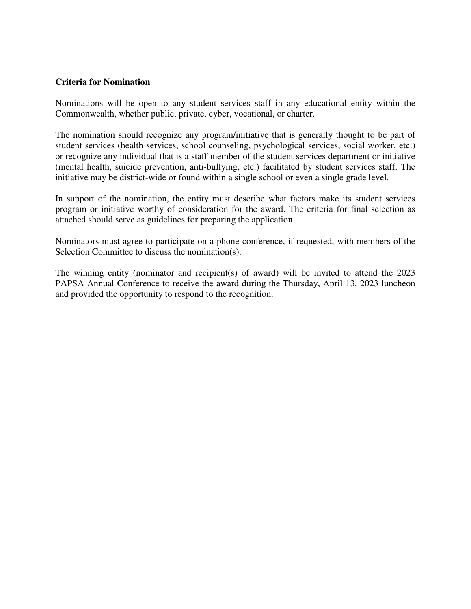#### **Criteria for Nomination**

Nominations will be open to any student services staff in any educational entity within the Commonwealth, whether public, private, cyber, vocational, or charter.

The nomination should recognize any program/initiative that is generally thought to be part of student services (health services, school counseling, psychological services, social worker, etc.) or recognize any individual that is a staff member of the student services department or initiative (mental health, suicide prevention, anti-bullying, etc.) facilitated by student services staff. The initiative may be district-wide or found within a single school or even a single grade level.

In support of the nomination, the entity must describe what factors make its student services program or initiative worthy of consideration for the award. The criteria for final selection as attached should serve as guidelines for preparing the application.

Nominators must agree to participate on a phone conference, if requested, with members of the Selection Committee to discuss the nomination(s).

The winning entity (nominator and recipient(s) of award) will be invited to attend the 2023 PAPSA Annual Conference to receive the award during the Thursday, April 13, 2023 luncheon and provided the opportunity to respond to the recognition.